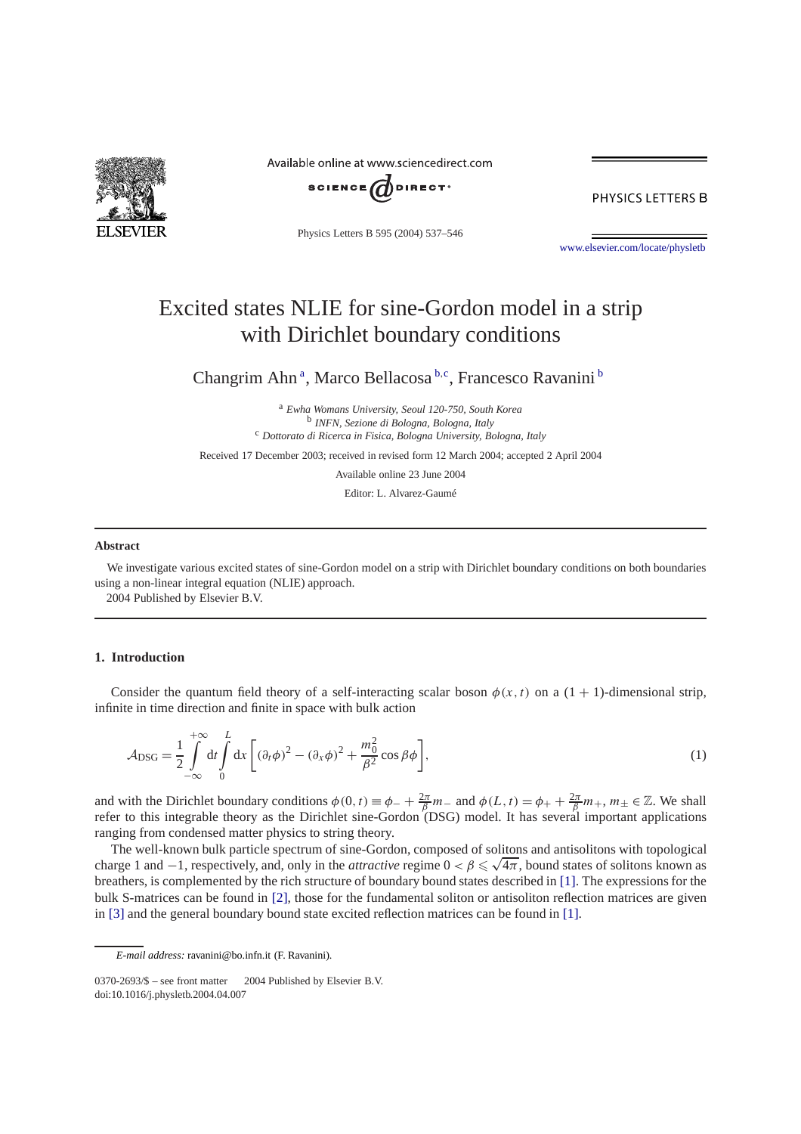<span id="page-0-0"></span>

Available online at www.sciencedirect.com



PHYSICS LETTERS B

Physics Letters B 595 (2004) 537–546

[www.elsevier.com/locate/physletb](http://www.elsevier.com/locate/physletb)

# Excited states NLIE for sine-Gordon model in a strip with Dirichlet boundary conditions

Changrim Ahn<sup>a</sup>, Marco Bellacosa<sup>b,c</sup>, Francesco Ravanini<sup>b</sup>

<sup>a</sup> *Ewha Womans University, Seoul 120-750, South Korea* <sup>b</sup> *INFN, Sezione di Bologna, Bologna, Italy* <sup>c</sup> *Dottorato di Ricerca in Fisica, Bologna University, Bologna, Italy*

Received 17 December 2003; received in revised form 12 March 2004; accepted 2 April 2004

Available online 23 June 2004

Editor: L. Alvarez-Gaumé

## **Abstract**

We investigate various excited states of sine-Gordon model on a strip with Dirichlet boundary conditions on both boundaries using a non-linear integral equation (NLIE) approach.

2004 Published by Elsevier B.V.

# **1. Introduction**

Consider the quantum field theory of a self-interacting scalar boson  $\phi(x, t)$  on a  $(1 + 1)$ -dimensional strip, infinite in time direction and finite in space with bulk action

$$
\mathcal{A}_{\rm DSG} = \frac{1}{2} \int_{-\infty}^{+\infty} dt \int_{0}^{L} dx \left[ (\partial_t \phi)^2 - (\partial_x \phi)^2 + \frac{m_0^2}{\beta^2} \cos \beta \phi \right],\tag{1}
$$

and with the Dirichlet boundary conditions  $\phi(0, t) \equiv \phi_- + \frac{2\pi}{\beta} m_-$  and  $\phi(L, t) = \phi_+ + \frac{2\pi}{\beta} m_+$ ,  $m_{\pm} \in \mathbb{Z}$ . We shall refer to this integrable theory as the Dirichlet sine-Gordon (DSG) model. It has several important applications ranging from condensed matter physics to string theory.

The well-known bulk particle spectrum of sine-Gordon, composed of solitons and antisolitons with topological The well-known bulk particle spectrum of sine-Gordon, composed of solitons and antisolitons with topological charge 1 and  $-1$ , respectively, and, only in the *attractive* regime  $0 < \beta \le \sqrt{4\pi}$ , bound states of solitons breathers, is complemented by the rich structure of boundary bound states described in [\[1\].](#page-8-0) The expressions for the bulk S-matrices can be found in [\[2\],](#page-8-0) those for the fundamental soliton or antisoliton reflection matrices are given in [\[3\]](#page-8-0) and the general boundary bound state excited reflection matrices can be found in [\[1\].](#page-8-0)

*E-mail address:* ravanini@bo.infn.it (F. Ravanini).

<sup>0370-2693/\$ –</sup> see front matter  $\degree$  2004 Published by Elsevier B.V. doi:10.1016/j.physletb.2004.04.007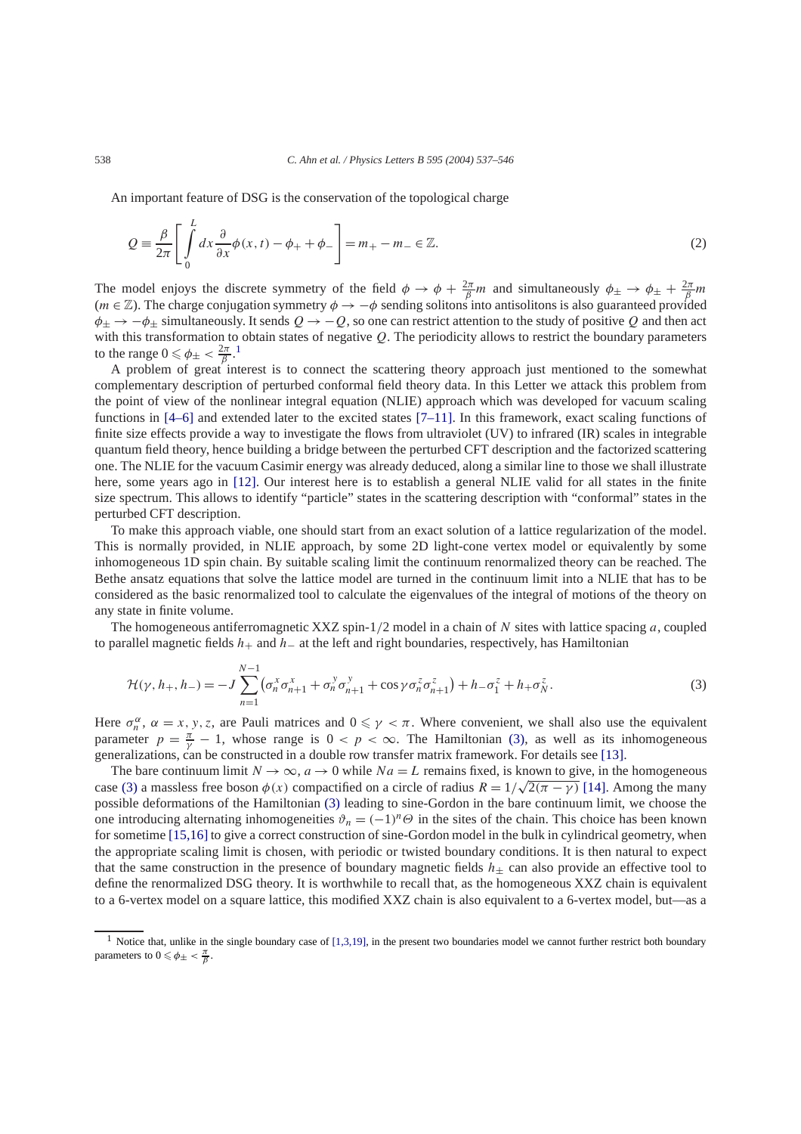<span id="page-1-0"></span>An important feature of DSG is the conservation of the topological charge

$$
Q = \frac{\beta}{2\pi} \left[ \int_{0}^{L} dx \frac{\partial}{\partial x} \phi(x, t) - \phi_{+} + \phi_{-} \right] = m_{+} - m_{-} \in \mathbb{Z}.
$$
 (2)

The model enjoys the discrete symmetry of the field  $\phi \to \phi + \frac{2\pi}{\beta}m$  and simultaneously  $\phi_{\pm} \to \phi_{\pm} + \frac{2\pi}{\beta}m$  $(m \in \mathbb{Z})$ . The charge conjugation symmetry  $\phi \to -\phi$  sending solitons into antisolitons is also guaranteed provided *φ*<sup>±</sup> → −*φ*<sup>±</sup> simultaneously. It sends *Q* → −*Q*, so one can restrict attention to the study of positive *Q* and then act with this transformation to obtain states of negative *Q*. The periodicity allows to restrict the boundary parameters to the range  $0 \le \phi_{\pm} < \frac{2\pi}{\beta}$ .<sup>1</sup>

A problem of great interest is to connect the scattering theory approach just mentioned to the somewhat complementary description of perturbed conformal field theory data. In this Letter we attack this problem from the point of view of the nonlinear integral equation (NLIE) approach which was developed for vacuum scaling functions in [\[4–6\]](#page-8-0) and extended later to the excited states [\[7–11\].](#page-8-0) In this framework, exact scaling functions of finite size effects provide a way to investigate the flows from ultraviolet (UV) to infrared (IR) scales in integrable quantum field theory, hence building a bridge between the perturbed CFT description and the factorized scattering one. The NLIE for the vacuum Casimir energy was already deduced, along a similar line to those we shall illustrate here, some years ago in [\[12\].](#page-8-0) Our interest here is to establish a general NLIE valid for all states in the finite size spectrum. This allows to identify "particle" states in the scattering description with "conformal" states in the perturbed CFT description.

To make this approach viable, one should start from an exact solution of a lattice regularization of the model. This is normally provided, in NLIE approach, by some 2D light-cone vertex model or equivalently by some inhomogeneous 1D spin chain. By suitable scaling limit the continuum renormalized theory can be reached. The Bethe ansatz equations that solve the lattice model are turned in the continuum limit into a NLIE that has to be considered as the basic renormalized tool to calculate the eigenvalues of the integral of motions of the theory on any state in finite volume.

The homogeneous antiferromagnetic XXZ spin-1*/*2 model in a chain of *N* sites with lattice spacing *a*, coupled to parallel magnetic fields *h*+ and *h*− at the left and right boundaries, respectively, has Hamiltonian

$$
\mathcal{H}(\gamma, h_+, h_-) = -J \sum_{n=1}^{N-1} \left( \sigma_n^x \sigma_{n+1}^x + \sigma_n^y \sigma_{n+1}^y + \cos \gamma \sigma_n^z \sigma_{n+1}^z \right) + h_- \sigma_1^z + h_+ \sigma_N^z. \tag{3}
$$

Here  $\sigma_n^{\alpha}$ ,  $\alpha = x, y, z$ , are Pauli matrices and  $0 \le \gamma < \pi$ . Where convenient, we shall also use the equivalent parameter  $p = \frac{\pi}{\gamma} - 1$ , whose range is  $0 < p < \infty$ . The Hamiltonian (3), as well as its inhomogeneous generalizations, can be constructed in a double row transfer matrix framework. For details see [\[13\].](#page-8-0)

The bare continuum limit  $N \to \infty$ ,  $a \to 0$  while  $Na = L$  remains fixed, is known to give, in the homogeneous The bare continuum fimit  $N \to \infty$ ,  $a \to 0$  while  $Na = L$  remains fixed, is known to give, in the nomogeneous case (3) a massless free boson  $\phi(x)$  compactified on a circle of radius  $R = 1/\sqrt{2(\pi - \gamma)}$  [\[14\].](#page-8-0) Among the many possible deformations of the Hamiltonian (3) leading to sine-Gordon in the bare continuum limit, we choose the one introducing alternating inhomogeneities  $\vartheta_n = (-1)^n \Theta$  in the sites of the chain. This choice has been known for sometime [\[15,16\]](#page-8-0) to give a correct construction of sine-Gordon model in the bulk in cylindrical geometry, when the appropriate scaling limit is chosen, with periodic or twisted boundary conditions. It is then natural to expect that the same construction in the presence of boundary magnetic fields  $h_{+}$  can also provide an effective tool to define the renormalized DSG theory. It is worthwhile to recall that, as the homogeneous XXZ chain is equivalent to a 6-vertex model on a square lattice, this modified XXZ chain is also equivalent to a 6-vertex model, but—as a

<sup>&</sup>lt;sup>1</sup> Notice that, unlike in the single boundary case of  $[1,3,19]$ , in the present two boundaries model we cannot further restrict both boundary parameters to  $0 \le \phi_{\pm} < \frac{\pi}{\beta}$ .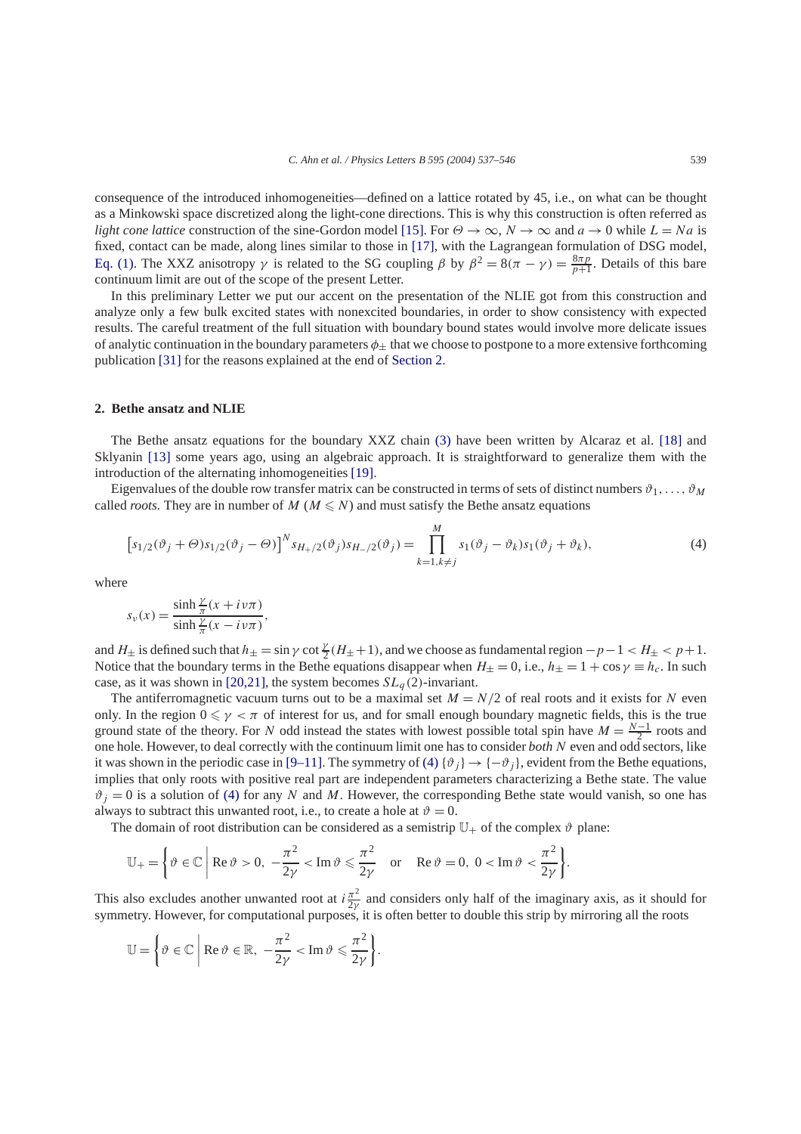<span id="page-2-0"></span>consequence of the introduced inhomogeneities—defined on a lattice rotated by 45, i.e., on what can be thought as a Minkowski space discretized along the light-cone directions. This is why this construction is often referred as *light cone lattice* construction of the sine-Gordon model [\[15\].](#page-8-0) For  $\Theta \to \infty$ ,  $N \to \infty$  and  $a \to 0$  while  $L = Na$  is fixed, contact can be made, along lines similar to those in [\[17\],](#page-9-0) with the Lagrangean formulation of DSG model, [Eq. \(1\).](#page-0-0) The XXZ anisotropy *γ* is related to the SG coupling *β* by  $β^2 = 8(π - γ) = \frac{8πp}{p+1}$ . Details of this bare continuum limit are out of the scope of the present Letter.

In this preliminary Letter we put our accent on the presentation of the NLIE got from this construction and analyze only a few bulk excited states with nonexcited boundaries, in order to show consistency with expected results. The careful treatment of the full situation with boundary bound states would involve more delicate issues of analytic continuation in the boundary parameters  $\phi_{\pm}$  that we choose to postpone to a more extensive forthcoming publication [\[31\]](#page-9-0) for the reasons explained at the end of Section 2.

## **2. Bethe ansatz and NLIE**

The Bethe ansatz equations for the boundary XXZ chain [\(3\)](#page-1-0) have been written by Alcaraz et al. [\[18\]](#page-9-0) and Sklyanin [\[13\]](#page-8-0) some years ago, using an algebraic approach. It is straightforward to generalize them with the introduction of the alternating inhomogeneities [\[19\].](#page-9-0)

Eigenvalues of the double row transfer matrix can be constructed in terms of sets of distinct numbers  $\vartheta_1, \ldots, \vartheta_M$ called *roots*. They are in number of  $M$  ( $M \leq N$ ) and must satisfy the Bethe ansatz equations

$$
\left[s_{1/2}(\vartheta_j+\Theta)s_{1/2}(\vartheta_j-\Theta)\right]^N s_{H_+/2}(\vartheta_j)s_{H_-/2}(\vartheta_j)=\prod_{k=1,k\neq j}^M s_1(\vartheta_j-\vartheta_k)s_1(\vartheta_j+\vartheta_k),\tag{4}
$$

where

$$
s_{\nu}(x) = \frac{\sinh\frac{\gamma}{\pi}(x+i\nu\pi)}{\sinh\frac{\gamma}{\pi}(x-i\nu\pi)},
$$

and  $H_{\pm}$  is defined such that  $h_{\pm} = \sin \gamma \cot \frac{\gamma}{2} (H_{\pm} + 1)$ , and we choose as fundamental region  $-p-1 < H_{\pm} < p+1$ . Notice that the boundary terms in the Bethe equations disappear when  $H_{\pm} = 0$ , i.e.,  $h_{\pm} = 1 + \cos \gamma \equiv h_c$ . In such case, as it was shown in [\[20,21\],](#page-9-0) the system becomes  $SL_q(2)$ -invariant.

The antiferromagnetic vacuum turns out to be a maximal set  $M = N/2$  of real roots and it exists for *N* even only. In the region  $0 \le \gamma < \pi$  of interest for us, and for small enough boundary magnetic fields, this is the true ground state of the theory. For *N* odd instead the states with lowest possible total spin have  $M = \frac{N-1}{2}$  roots and one hole. However, to deal correctly with the continuum limit one has to consider *both* N even and odd sectors, like it was shown in the periodic case in [\[9–11\].](#page-8-0) The symmetry of (4) { $\vartheta_i$ }  $\rightarrow$  { $-\vartheta_j$ }, evident from the Bethe equations, implies that only roots with positive real part are independent parameters characterizing a Bethe state. The value  $\vartheta_i = 0$  is a solution of (4) for any *N* and *M*. However, the corresponding Bethe state would vanish, so one has always to subtract this unwanted root, i.e., to create a hole at  $\vartheta = 0$ .

The domain of root distribution can be considered as a semistrip  $\mathbb{U}_+$  of the complex  $\vartheta$  plane:

$$
\mathbb{U}_{+} = \left\{ \vartheta \in \mathbb{C} \, \middle| \, \text{Re } \vartheta > 0, \ -\frac{\pi^2}{2\gamma} < \text{Im } \vartheta \leqslant \frac{\pi^2}{2\gamma} \quad \text{or} \quad \text{Re } \vartheta = 0, \ 0 < \text{Im } \vartheta < \frac{\pi^2}{2\gamma} \right\}.
$$

This also excludes another unwanted root at  $i\frac{\pi^2}{2\gamma}$  and considers only half of the imaginary axis, as it should for symmetry. However, for computational purposes, it is often better to double this strip by mirroring all the roots

$$
\mathbb{U} = \left\{ \vartheta \in \mathbb{C} \; \middle| \; \mathrm{Re} \, \vartheta \in \mathbb{R}, \; -\frac{\pi^2}{2\gamma} < \mathrm{Im} \, \vartheta \leqslant \frac{\pi^2}{2\gamma} \right\}.
$$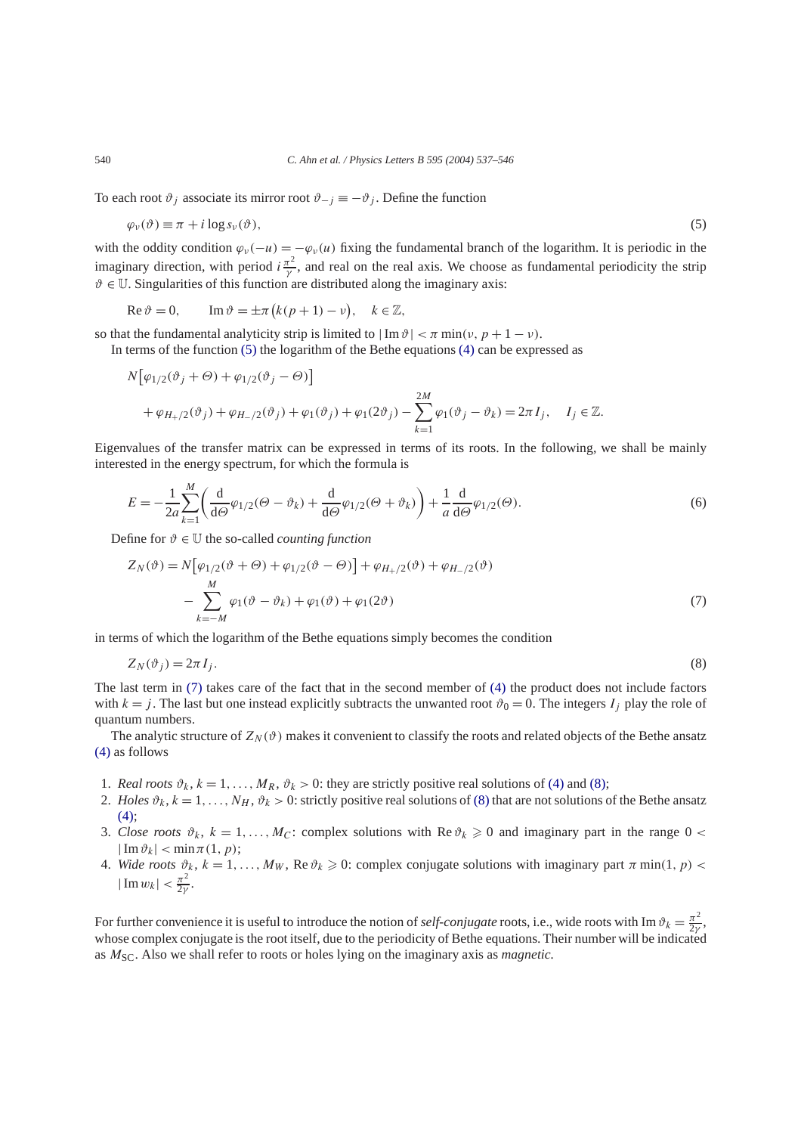To each root  $\vartheta_j$  associate its mirror root  $\vartheta_{-j} \equiv -\vartheta_j$ . Define the function

$$
\varphi_{\nu}(\vartheta) \equiv \pi + i \log s_{\nu}(\vartheta), \tag{5}
$$

with the oddity condition  $\varphi_{\nu}(-u) = -\varphi_{\nu}(u)$  fixing the fundamental branch of the logarithm. It is periodic in the imaginary direction, with period  $i \frac{\pi^2}{\gamma}$ , and real on the real axis. We choose as fundamental periodicity the strip  $\vartheta \in \mathbb{U}$ . Singularities of this function are distributed along the imaginary axis:

$$
\operatorname{Re}\vartheta = 0, \qquad \operatorname{Im}\vartheta = \pm \pi \big( k(p+1) - \nu \big), \quad k \in \mathbb{Z},
$$

so that the fundamental analyticity strip is limited to  $|\text{Im }\vartheta| < \pi \min(v, p + 1 - v)$ .

In terms of the function (5) the logarithm of the Bethe equations [\(4\)](#page-2-0) can be expressed as

$$
N[\varphi_{1/2}(\vartheta_j + \Theta) + \varphi_{1/2}(\vartheta_j - \Theta)]
$$
  
+  $\varphi_{H_+/2}(\vartheta_j) + \varphi_{H_-/2}(\vartheta_j) + \varphi_1(\vartheta_j) + \varphi_1(2\vartheta_j) - \sum_{k=1}^{2M} \varphi_1(\vartheta_j - \vartheta_k) = 2\pi I_j, \quad I_j \in \mathbb{Z}.$ 

Eigenvalues of the transfer matrix can be expressed in terms of its roots. In the following, we shall be mainly interested in the energy spectrum, for which the formula is

$$
E = -\frac{1}{2a} \sum_{k=1}^{M} \left( \frac{d}{d\Theta} \varphi_{1/2}(\Theta - \vartheta_k) + \frac{d}{d\Theta} \varphi_{1/2}(\Theta + \vartheta_k) \right) + \frac{1}{a} \frac{d}{d\Theta} \varphi_{1/2}(\Theta).
$$
(6)

Define for  $\vartheta \in \mathbb{U}$  the so-called *counting function* 

*M*

$$
Z_N(\vartheta) = N[\varphi_{1/2}(\vartheta + \Theta) + \varphi_{1/2}(\vartheta - \Theta)] + \varphi_{H_+/2}(\vartheta) + \varphi_{H_-/2}(\vartheta)
$$
  

$$
- \sum_{k=-M}^{M} \varphi_1(\vartheta - \vartheta_k) + \varphi_1(\vartheta) + \varphi_1(2\vartheta)
$$
 (7)

in terms of which the logarithm of the Bethe equations simply becomes the condition

$$
Z_N(\vartheta_j) = 2\pi I_j. \tag{8}
$$

The last term in (7) takes care of the fact that in the second member of [\(4\)](#page-2-0) the product does not include factors with  $k = j$ . The last but one instead explicitly subtracts the unwanted root  $\vartheta_0 = 0$ . The integers  $I_j$  play the role of quantum numbers.

The analytic structure of  $Z_N(\vartheta)$  makes it convenient to classify the roots and related objects of the Bethe ansatz [\(4\)](#page-2-0) as follows

- 1. *Real roots*  $\vartheta_k$ ,  $k = 1, \ldots, M_R$ ,  $\vartheta_k > 0$ : they are strictly positive real solutions of [\(4\)](#page-2-0) and (8);
- 2. *Holes*  $\vartheta_k$ ,  $k = 1, \ldots, N_H$ ,  $\vartheta_k > 0$ : strictly positive real solutions of (8) that are not solutions of the Bethe ansatz  $(4)$ :
- 3. *Close roots*  $\vartheta_k$ ,  $k = 1, ..., M_C$ : complex solutions with Re  $\vartheta_k \ge 0$  and imaginary part in the range  $0 < \pi$  $|\operatorname{Im} \vartheta_k| < \min \pi(1, p);$
- 4. *Wide roots*  $\vartheta_k$ ,  $k = 1, \ldots, M_W$ , Re $\vartheta_k \ge 0$ : complex conjugate solutions with imaginary part  $\pi$  min(1, p) <  $|\operatorname{Im} w_k| < \frac{\pi^2}{2\gamma}$ .

For further convenience it is useful to introduce the notion of *self-conjugate* roots, i.e., wide roots with Im  $\vartheta_k = \frac{\pi^2}{2\gamma}$ , whose complex conjugate is the root itself, due to the periodicity of Bethe equations. Their number will be indicated as *M*SC. Also we shall refer to roots or holes lying on the imaginary axis as *magnetic.*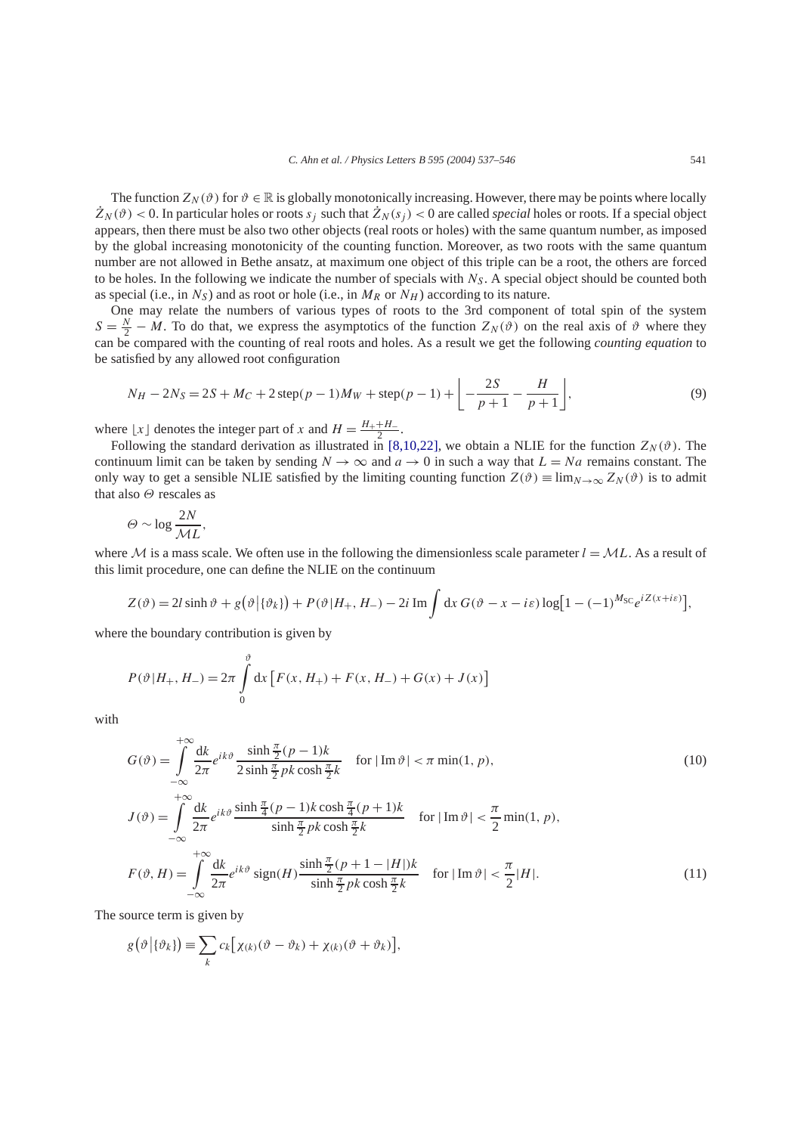The function  $Z_N(\vartheta)$  for  $\vartheta \in \mathbb{R}$  is globally monotonically increasing. However, there may be points where locally  $Z_N(\vartheta)$  < 0. In particular holes or roots  $s_j$  such that  $Z_N(s_j)$  < 0 are called *special* holes or roots. If a special object appears, then there must be also two other objects (real roots or holes) with the same quantum number, as imposed by the global increasing monotonicity of the counting function. Moreover, as two roots with the same quantum number are not allowed in Bethe ansatz, at maximum one object of this triple can be a root, the others are forced to be holes. In the following we indicate the number of specials with  $N<sub>S</sub>$ . A special object should be counted both as special (i.e., in  $N_S$ ) and as root or hole (i.e., in  $M_R$  or  $N_H$ ) according to its nature.

One may relate the numbers of various types of roots to the 3rd component of total spin of the system  $S = \frac{N}{2} - M$ . To do that, we express the asymptotics of the function  $Z_N(\vartheta)$  on the real axis of  $\vartheta$  where they can be compared with the counting of real roots and holes. As a result we get the following *counting equation* to be satisfied by any allowed root configuration

$$
N_H - 2N_S = 2S + M_C + 2\operatorname{step}(p - 1)M_W + \operatorname{step}(p - 1) + \left[ -\frac{2S}{p + 1} - \frac{H}{p + 1} \right],\tag{9}
$$

where  $\lfloor x \rfloor$  denotes the integer part of *x* and  $H = \frac{H_+ + H_-}{2}$ .

Following the standard derivation as illustrated in [\[8,10,22\],](#page-8-0) we obtain a NLIE for the function  $Z_N(\vartheta)$ . The continuum limit can be taken by sending  $N \to \infty$  and  $a \to 0$  in such a way that  $L = Na$  remains constant. The only way to get a sensible NLIE satisfied by the limiting counting function  $Z(\vartheta) \equiv \lim_{N \to \infty} Z_N(\vartheta)$  is to admit that also *Θ* rescales as

$$
\Theta \sim \log \frac{2N}{ML},
$$

where M is a mass scale. We often use in the following the dimensionless scale parameter  $l = ML$ . As a result of this limit procedure, one can define the NLIE on the continuum

$$
Z(\vartheta) = 2l \sinh \vartheta + g(\vartheta | \{\vartheta_k\}) + P(\vartheta | H_+, H_-) - 2i \operatorname{Im} \int dx \, G(\vartheta - x - i\varepsilon) \log[1 - (-1)^{M_{\rm SC}} e^{i Z(x + i\varepsilon)}],
$$

where the boundary contribution is given by

$$
P(\vartheta|H_+, H_-) = 2\pi \int_{0}^{\vartheta} dx \left[ F(x, H_+) + F(x, H_-) + G(x) + J(x) \right]
$$

with

$$
G(\vartheta) = \int_{-\infty}^{+\infty} \frac{dk}{2\pi} e^{ik\vartheta} \frac{\sinh\frac{\pi}{2}(p-1)k}{2\sinh\frac{\pi}{2}pk\cosh\frac{\pi}{2}k} \quad \text{for } |\operatorname{Im}\vartheta| < \pi \min(1, p),
$$
  
+\infty

$$
J(\vartheta) = \int_{-\infty}^{\infty} \frac{dk}{2\pi} e^{ik\vartheta} \frac{\sinh\frac{\pi}{4}(p-1)k\cosh\frac{\pi}{4}(p+1)k}{\sinh\frac{\pi}{2}pk\cosh\frac{\pi}{2}k} \quad \text{for } |\operatorname{Im}\vartheta| < \frac{\pi}{2} \min(1, p),
$$
  

$$
F(\vartheta, H) = \int_{-\infty}^{+\infty} \frac{dk}{2\pi} e^{ik\vartheta} \operatorname{sign}(H) \frac{\sinh\frac{\pi}{2}(p+1-|H|)k}{\sinh\frac{\pi}{2}pk\cosh\frac{\pi}{2}k} \quad \text{for } |\operatorname{Im}\vartheta| < \frac{\pi}{2}|H|.
$$
 (11)

The source term is given by

$$
g(\vartheta | {\theta_k}) \equiv \sum_k c_k [\chi_{(k)}(\vartheta - \vartheta_k) + \chi_{(k)}(\vartheta + \vartheta_k)],
$$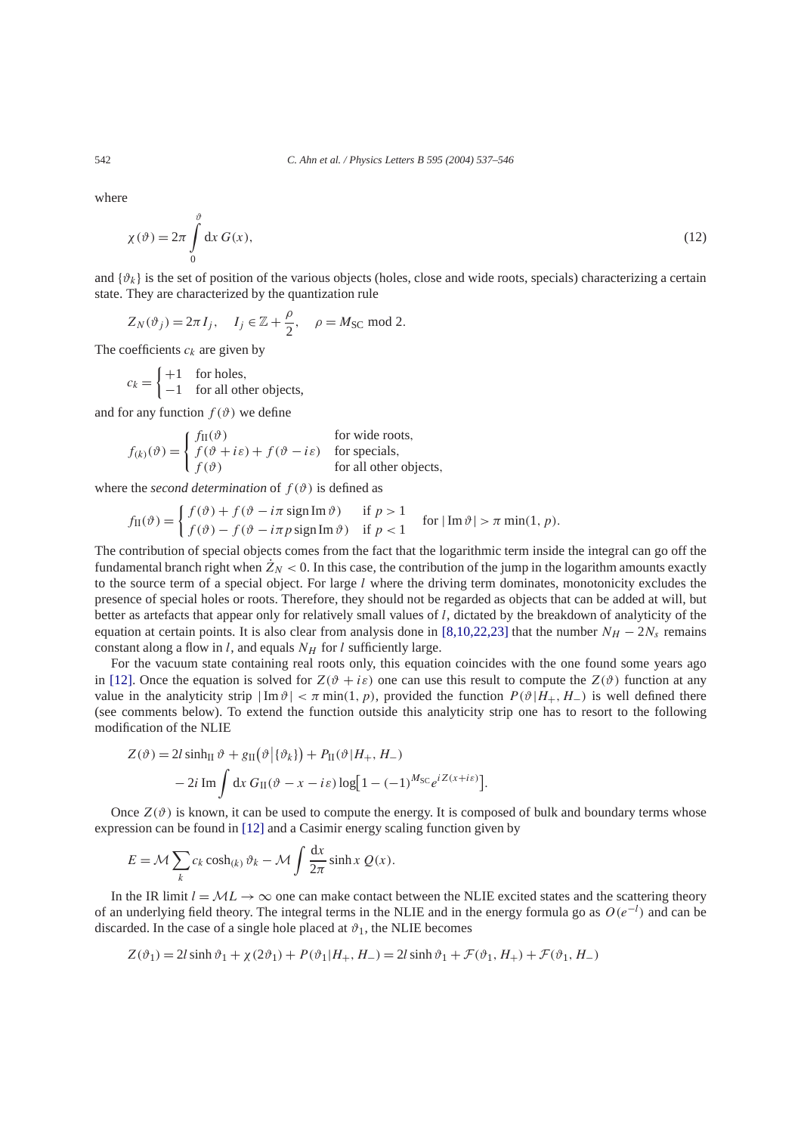where

$$
\chi(\vartheta) = 2\pi \int_{0}^{\vartheta} dx G(x),\tag{12}
$$

and  $\{\vartheta_k\}$  is the set of position of the various objects (holes, close and wide roots, specials) characterizing a certain state. They are characterized by the quantization rule

$$
Z_N(\vartheta_j) = 2\pi I_j
$$
,  $I_j \in \mathbb{Z} + \frac{\rho}{2}$ ,  $\rho = M_{SC} \text{ mod } 2$ .

The coefficients  $c_k$  are given by

$$
c_k = \begin{cases} +1 & \text{for holes,} \\ -1 & \text{for all other objects,} \end{cases}
$$

and for any function  $f(\theta)$  we define

$$
f_{(k)}(\vartheta) = \begin{cases} f_{\text{II}}(\vartheta) & \text{for wide roots,} \\ f(\vartheta + i\varepsilon) + f(\vartheta - i\varepsilon) & \text{for special,} \\ f(\vartheta) & \text{for all other objects,} \end{cases}
$$

where the *second determination* of  $f(\theta)$  is defined as

$$
f_{\text{II}}(\vartheta) = \begin{cases} f(\vartheta) + f(\vartheta - i\pi \operatorname{sign} \text{Im } \vartheta) & \text{if } p > 1 \\ f(\vartheta) - f(\vartheta - i\pi p \operatorname{sign} \text{Im } \vartheta) & \text{if } p < 1 \end{cases} \quad \text{for } |\text{Im } \vartheta| > \pi \min(1, p).
$$

The contribution of special objects comes from the fact that the logarithmic term inside the integral can go off the fundamental branch right when  $Z_N < 0$ . In this case, the contribution of the jump in the logarithm amounts exactly to the source term of a special object. For large *l* where the driving term dominates, monotonicity excludes the presence of special holes or roots. Therefore, they should not be regarded as objects that can be added at will, but better as artefacts that appear only for relatively small values of *l*, dictated by the breakdown of analyticity of the equation at certain points. It is also clear from analysis done in [\[8,10,22,23\]](#page-8-0) that the number  $N_H - 2N_s$  remains constant along a flow in *l*, and equals  $N_H$  for *l* sufficiently large.

For the vacuum state containing real roots only, this equation coincides with the one found some years ago in [\[12\].](#page-8-0) Once the equation is solved for  $Z(\vartheta + i\varepsilon)$  one can use this result to compute the  $Z(\vartheta)$  function at any value in the analyticity strip  $|\text{Im } \vartheta| < \pi \min(1, p)$ , provided the function  $P(\vartheta | H_+, H_-)$  is well defined there (see comments below). To extend the function outside this analyticity strip one has to resort to the following modification of the NLIE

$$
Z(\vartheta) = 2l \sinh \vartheta + g_{II}(\vartheta | \{\vartheta_k\}) + P_{II}(\vartheta | H_+, H_-)
$$

$$
- 2i \operatorname{Im} \int dx G_{II}(\vartheta - x - i\varepsilon) \log[1 - (-1)^{M_{SC}} e^{iZ(x + i\varepsilon)}].
$$

Once  $Z(\vartheta)$  is known, it can be used to compute the energy. It is composed of bulk and boundary terms whose expression can be found in [\[12\]](#page-8-0) and a Casimir energy scaling function given by

$$
E = \mathcal{M} \sum_{k} c_k \cosh(k) \vartheta_k - \mathcal{M} \int \frac{dx}{2\pi} \sinh x \ Q(x).
$$

In the IR limit  $l = ML \rightarrow \infty$  one can make contact between the NLIE excited states and the scattering theory of an underlying field theory. The integral terms in the NLIE and in the energy formula go as *O(e*−*<sup>l</sup> )* and can be discarded. In the case of a single hole placed at  $\vartheta_1$ , the NLIE becomes

$$
Z(\vartheta_1) = 2l \sinh \vartheta_1 + \chi(2\vartheta_1) + P(\vartheta_1|H_+, H_-) = 2l \sinh \vartheta_1 + \mathcal{F}(\vartheta_1, H_+) + \mathcal{F}(\vartheta_1, H_-)
$$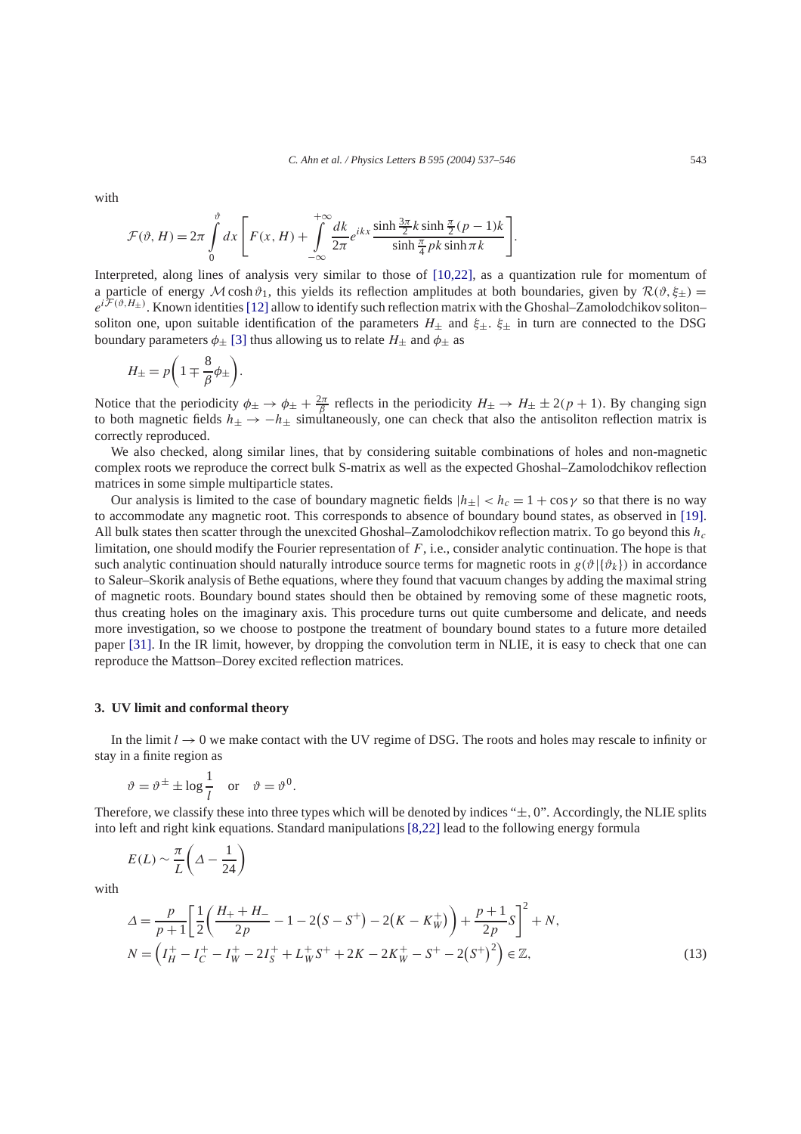<span id="page-6-0"></span>with

$$
\mathcal{F}(\vartheta, H) = 2\pi \int_{0}^{\vartheta} dx \left[ F(x, H) + \int_{-\infty}^{+\infty} \frac{dk}{2\pi} e^{ikx} \frac{\sinh \frac{3\pi}{2} k \sinh \frac{\pi}{2} (p-1)k}{\sinh \frac{\pi}{4} pk \sinh \pi k} \right].
$$

Interpreted, along lines of analysis very similar to those of [\[10,22\],](#page-8-0) as a quantization rule for momentum of a particle of energy  $M \cosh \vartheta_1$ , this yields its reflection amplitudes at both boundaries, given by  $\mathcal{R}(\vartheta, \xi_{\pm})$  $e^{i\mathcal{F}(\vartheta,H_{\pm})}$ . Known identities [\[12\]](#page-8-0) allow to identify such reflection matrix with the Ghoshal–Zamolodchikov soliton– soliton one, upon suitable identification of the parameters  $H_{\pm}$  and  $\xi_{\pm}$ .  $\xi_{\pm}$  in turn are connected to the DSG boundary parameters  $\phi_{\pm}$  [\[3\]](#page-8-0) thus allowing us to relate  $H_{\pm}$  and  $\phi_{\pm}$  as

$$
H_{\pm} = p \bigg( 1 \mp \frac{8}{\beta} \phi_{\pm} \bigg).
$$

Notice that the periodicity  $\phi_{\pm} \to \phi_{\pm} + \frac{2\pi}{\beta}$  reflects in the periodicity  $H_{\pm} \to H_{\pm} \pm 2(p+1)$ . By changing sign to both magnetic fields  $h_{\pm} \rightarrow -h_{\pm}$  simultaneously, one can check that also the antisoliton reflection matrix is correctly reproduced.

We also checked, along similar lines, that by considering suitable combinations of holes and non-magnetic complex roots we reproduce the correct bulk S-matrix as well as the expected Ghoshal–Zamolodchikov reflection matrices in some simple multiparticle states.

Our analysis is limited to the case of boundary magnetic fields  $|h_{\pm}| < h_c = 1 + \cos \gamma$  so that there is no way to accommodate any magnetic root. This corresponds to absence of boundary bound states, as observed in [\[19\].](#page-9-0) All bulk states then scatter through the unexcited Ghoshal–Zamolodchikov reflection matrix. To go beyond this *hc* limitation, one should modify the Fourier representation of *F*, i.e., consider analytic continuation. The hope is that such analytic continuation should naturally introduce source terms for magnetic roots in  $g(\vartheta | {\vartheta_k})$  in accordance to Saleur–Skorik analysis of Bethe equations, where they found that vacuum changes by adding the maximal string of magnetic roots. Boundary bound states should then be obtained by removing some of these magnetic roots, thus creating holes on the imaginary axis. This procedure turns out quite cumbersome and delicate, and needs more investigation, so we choose to postpone the treatment of boundary bound states to a future more detailed paper [\[31\].](#page-9-0) In the IR limit, however, by dropping the convolution term in NLIE, it is easy to check that one can reproduce the Mattson–Dorey excited reflection matrices.

#### **3. UV limit and conformal theory**

In the limit  $l \to 0$  we make contact with the UV regime of DSG. The roots and holes may rescale to infinity or stay in a finite region as

$$
\vartheta = \vartheta^{\pm} \pm \log \frac{1}{l}
$$
 or  $\vartheta = \vartheta^{0}$ .

Therefore, we classify these into three types which will be denoted by indices "±*,* 0". Accordingly, the NLIE splits into left and right kink equations. Standard manipulations [\[8,22\]](#page-8-0) lead to the following energy formula

$$
E(L) \sim \frac{\pi}{L} \left( \Delta - \frac{1}{24} \right)
$$

with

$$
\Delta = \frac{p}{p+1} \left[ \frac{1}{2} \left( \frac{H_+ + H_-}{2p} - 1 - 2(S - S^+) - 2(K - K_W^+) \right) + \frac{p+1}{2p} S \right]^2 + N,
$$
  
\n
$$
N = \left( I_H^+ - I_C^+ - I_W^+ - 2I_S^+ + L_W^+ S^+ + 2K - 2K_W^+ - S^+ - 2(S^+)^2 \right) \in \mathbb{Z},
$$
\n(13)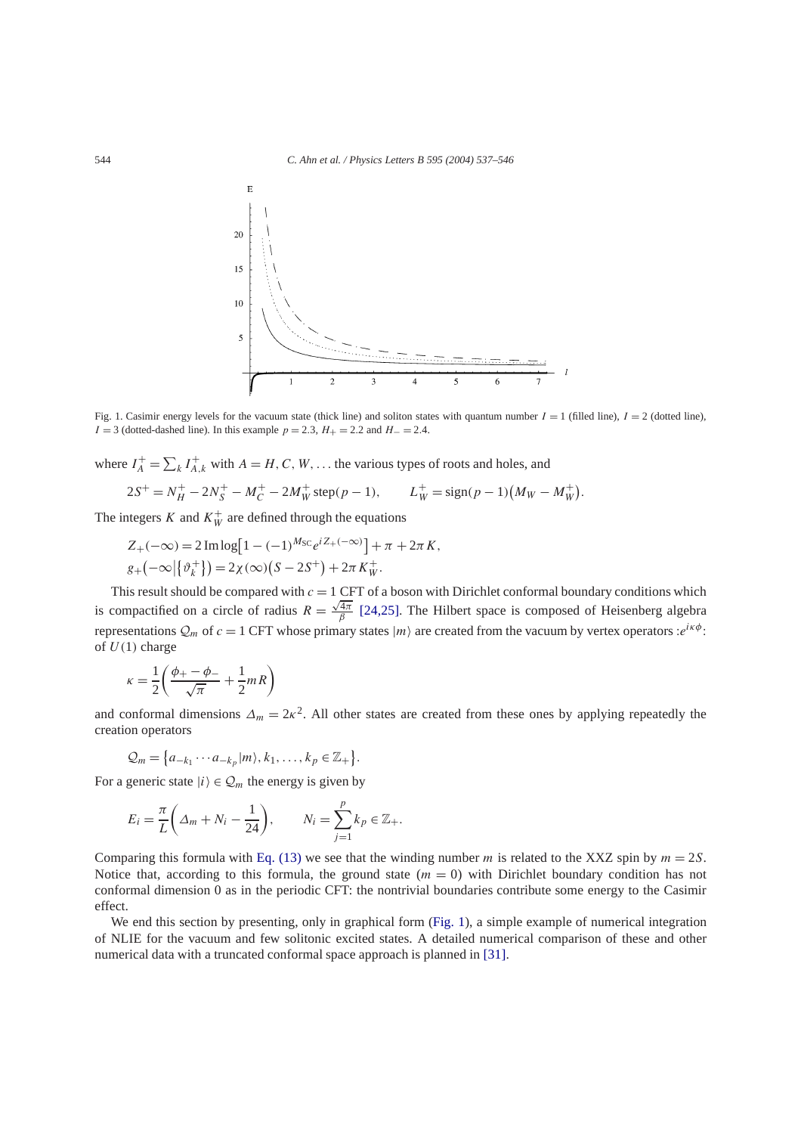

Fig. 1. Casimir energy levels for the vacuum state (thick line) and soliton states with quantum number  $I = 1$  (filled line),  $I = 2$  (dotted line), *I* = 3 (dotted-dashed line). In this example *p* = 2*.*3, *H*<sub>+</sub> = 2*.*2 and *H*− = 2*.4*.

where  $I_A^+ = \sum_k I_{A,k}^+$  with  $A = H, C, W, \dots$  the various types of roots and holes, and

$$
2S^{+} = N_{H}^{+} - 2N_{S}^{+} - M_{C}^{+} - 2M_{W}^{+} \text{ step}(p-1), \qquad L_{W}^{+} = \text{sign}(p-1)(M_{W} - M_{W}^{+}).
$$

The integers *K* and  $K_W^+$  are defined through the equations

$$
Z_{+}(-\infty) = 2 \operatorname{Im} \log [1 - (-1)^{M_{SC}} e^{i Z_{+}(-\infty)}] + \pi + 2\pi K,
$$
  

$$
g_{+}(-\infty | \{\vartheta_{k}^{+}\}) = 2\chi(\infty) (S - 2S^{+}) + 2\pi K_{W}^{+}.
$$

This result should be compared with *c* = 1 CFT of a boson with Dirichlet conformal boundary conditions which is compactified on a circle of radius  $R = \frac{\sqrt{4\pi}}{\beta}$  [\[24,25\].](#page-9-0) The Hilbert space is composed of Heisenberg algebra representations  $Q_m$  of  $c = 1$  CFT whose primary states  $|m\rangle$  are created from the vacuum by vertex operators : $e^{i\kappa\phi}$ : of  $U(1)$  charge

$$
\kappa = \frac{1}{2} \left( \frac{\phi_+ - \phi_-}{\sqrt{\pi}} + \frac{1}{2} m R \right)
$$

and conformal dimensions  $\Delta_m = 2\kappa^2$ . All other states are created from these ones by applying repeatedly the creation operators

$$
Q_m = \{a_{-k_1}\cdots a_{-k_p}|m\rangle, k_1,\ldots,k_p \in \mathbb{Z}_+\}.
$$

For a generic state  $|i\rangle \in \mathcal{Q}_m$  the energy is given by

$$
E_i = \frac{\pi}{L} \left( \Delta_m + N_i - \frac{1}{24} \right), \qquad N_i = \sum_{j=1}^p k_p \in \mathbb{Z}_+.
$$

Comparing this formula with [Eq. \(13\)](#page-6-0) we see that the winding number *m* is related to the XXZ spin by  $m = 2S$ . Notice that, according to this formula, the ground state  $(m = 0)$  with Dirichlet boundary condition has not conformal dimension 0 as in the periodic CFT: the nontrivial boundaries contribute some energy to the Casimir effect.

We end this section by presenting, only in graphical form (Fig. 1), a simple example of numerical integration of NLIE for the vacuum and few solitonic excited states. A detailed numerical comparison of these and other numerical data with a truncated conformal space approach is planned in [\[31\].](#page-9-0)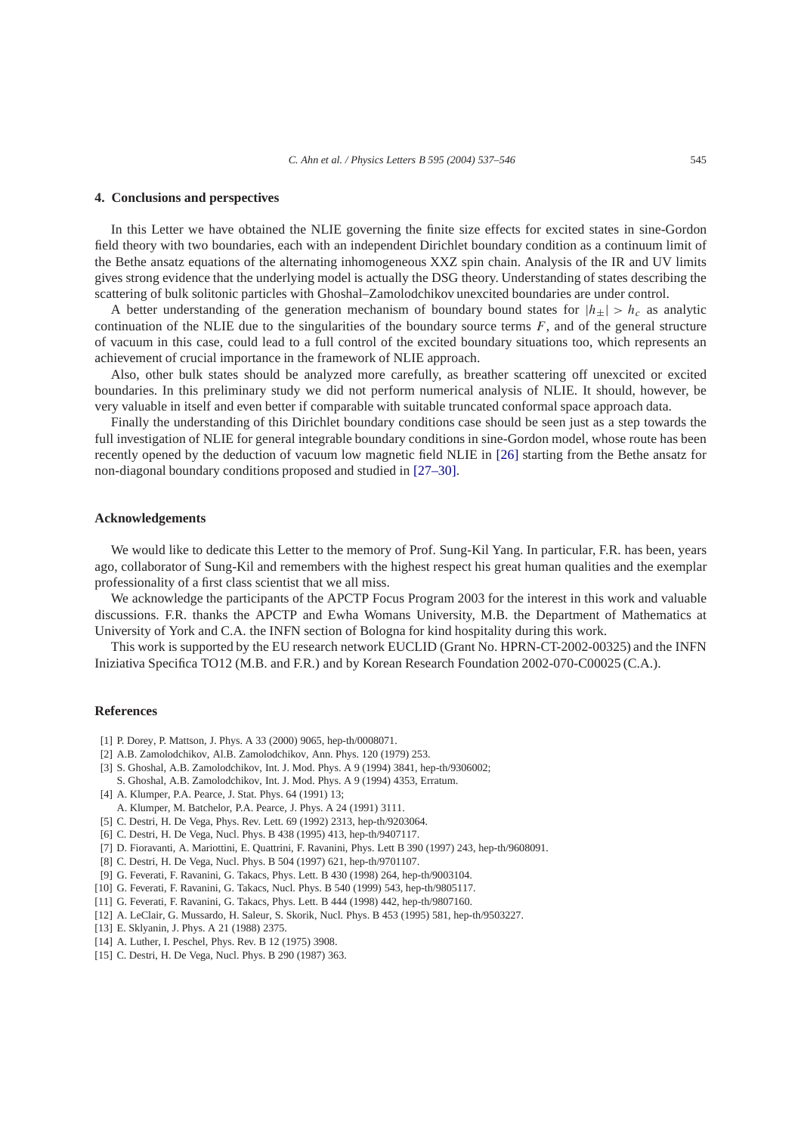## <span id="page-8-0"></span>**4. Conclusions and perspectives**

In this Letter we have obtained the NLIE governing the finite size effects for excited states in sine-Gordon field theory with two boundaries, each with an independent Dirichlet boundary condition as a continuum limit of the Bethe ansatz equations of the alternating inhomogeneous XXZ spin chain. Analysis of the IR and UV limits gives strong evidence that the underlying model is actually the DSG theory. Understanding of states describing the scattering of bulk solitonic particles with Ghoshal–Zamolodchikov unexcited boundaries are under control.

A better understanding of the generation mechanism of boundary bound states for  $|h_{\pm}| > h_c$  as analytic continuation of the NLIE due to the singularities of the boundary source terms  $F$ , and of the general structure of vacuum in this case, could lead to a full control of the excited boundary situations too, which represents an achievement of crucial importance in the framework of NLIE approach.

Also, other bulk states should be analyzed more carefully, as breather scattering off unexcited or excited boundaries. In this preliminary study we did not perform numerical analysis of NLIE. It should, however, be very valuable in itself and even better if comparable with suitable truncated conformal space approach data.

Finally the understanding of this Dirichlet boundary conditions case should be seen just as a step towards the full investigation of NLIE for general integrable boundary conditions in sine-Gordon model, whose route has been recently opened by the deduction of vacuum low magnetic field NLIE in [\[26\]](#page-9-0) starting from the Bethe ansatz for non-diagonal boundary conditions proposed and studied in [\[27–30\].](#page-9-0)

## **Acknowledgements**

We would like to dedicate this Letter to the memory of Prof. Sung-Kil Yang. In particular, F.R. has been, years ago, collaborator of Sung-Kil and remembers with the highest respect his great human qualities and the exemplar professionality of a first class scientist that we all miss.

We acknowledge the participants of the APCTP Focus Program 2003 for the interest in this work and valuable discussions. F.R. thanks the APCTP and Ewha Womans University, M.B. the Department of Mathematics at University of York and C.A. the INFN section of Bologna for kind hospitality during this work.

This work is supported by the EU research network EUCLID (Grant No. HPRN-CT-2002-00325) and the INFN Iniziativa Specifica TO12 (M.B. and F.R.) and by Korean Research Foundation 2002-070-C00025 (C.A.).

# **References**

- [1] P. Dorey, P. Mattson, J. Phys. A 33 (2000) 9065, hep-th/0008071.
- [2] A.B. Zamolodchikov, Al.B. Zamolodchikov, Ann. Phys. 120 (1979) 253.
- [3] S. Ghoshal, A.B. Zamolodchikov, Int. J. Mod. Phys. A 9 (1994) 3841, hep-th/9306002;
- S. Ghoshal, A.B. Zamolodchikov, Int. J. Mod. Phys. A 9 (1994) 4353, Erratum.
- [4] A. Klumper, P.A. Pearce, J. Stat. Phys. 64 (1991) 13;
- A. Klumper, M. Batchelor, P.A. Pearce, J. Phys. A 24 (1991) 3111.
- [5] C. Destri, H. De Vega, Phys. Rev. Lett. 69 (1992) 2313, hep-th/9203064.
- [6] C. Destri, H. De Vega, Nucl. Phys. B 438 (1995) 413, hep-th/9407117.
- [7] D. Fioravanti, A. Mariottini, E. Quattrini, F. Ravanini, Phys. Lett B 390 (1997) 243, hep-th/9608091.
- [8] C. Destri, H. De Vega, Nucl. Phys. B 504 (1997) 621, hep-th/9701107.
- [9] G. Feverati, F. Ravanini, G. Takacs, Phys. Lett. B 430 (1998) 264, hep-th/9003104.
- [10] G. Feverati, F. Ravanini, G. Takacs, Nucl. Phys. B 540 (1999) 543, hep-th/9805117.
- [11] G. Feverati, F. Ravanini, G. Takacs, Phys. Lett. B 444 (1998) 442, hep-th/9807160.
- [12] A. LeClair, G. Mussardo, H. Saleur, S. Skorik, Nucl. Phys. B 453 (1995) 581, hep-th/9503227.
- [13] E. Sklyanin, J. Phys. A 21 (1988) 2375.
- [14] A. Luther, I. Peschel, Phys. Rev. B 12 (1975) 3908.
- [15] C. Destri, H. De Vega, Nucl. Phys. B 290 (1987) 363.